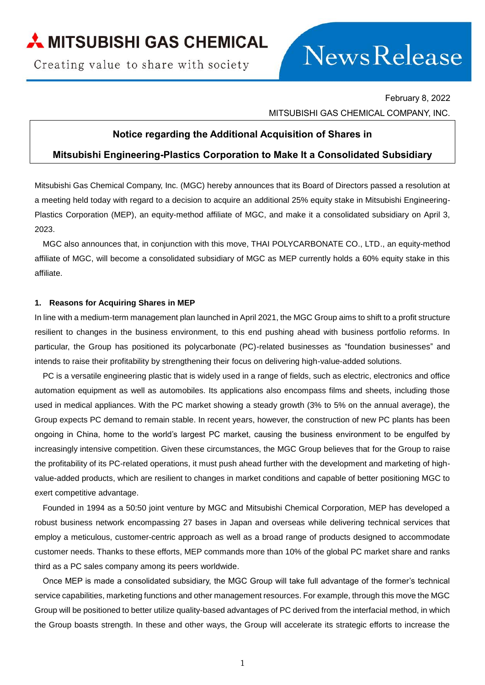Creating value to share with society

# News Release

February 8, 2022 MITSUBISHI GAS CHEMICAL COMPANY, INC.

#### **Notice regarding the Additional Acquisition of Shares in**

## **Mitsubishi Engineering-Plastics Corporation to Make It a Consolidated Subsidiary**

Mitsubishi Gas Chemical Company, Inc. (MGC) hereby announces that its Board of Directors passed a resolution at a meeting held today with regard to a decision to acquire an additional 25% equity stake in Mitsubishi Engineering-Plastics Corporation (MEP), an equity-method affiliate of MGC, and make it a consolidated subsidiary on April 3, 2023.

MGC also announces that, in conjunction with this move, THAI POLYCARBONATE CO., LTD., an equity-method affiliate of MGC, will become a consolidated subsidiary of MGC as MEP currently holds a 60% equity stake in this affiliate.

#### **1. Reasons for Acquiring Shares in MEP**

In line with a medium-term management plan launched in April 2021, the MGC Group aims to shift to a profit structure resilient to changes in the business environment, to this end pushing ahead with business portfolio reforms. In particular, the Group has positioned its polycarbonate (PC)-related businesses as "foundation businesses" and intends to raise their profitability by strengthening their focus on delivering high-value-added solutions.

PC is a versatile engineering plastic that is widely used in a range of fields, such as electric, electronics and office automation equipment as well as automobiles. Its applications also encompass films and sheets, including those used in medical appliances. With the PC market showing a steady growth (3% to 5% on the annual average), the Group expects PC demand to remain stable. In recent years, however, the construction of new PC plants has been ongoing in China, home to the world's largest PC market, causing the business environment to be engulfed by increasingly intensive competition. Given these circumstances, the MGC Group believes that for the Group to raise the profitability of its PC-related operations, it must push ahead further with the development and marketing of highvalue-added products, which are resilient to changes in market conditions and capable of better positioning MGC to exert competitive advantage.

Founded in 1994 as a 50:50 joint venture by MGC and Mitsubishi Chemical Corporation, MEP has developed a robust business network encompassing 27 bases in Japan and overseas while delivering technical services that employ a meticulous, customer-centric approach as well as a broad range of products designed to accommodate customer needs. Thanks to these efforts, MEP commands more than 10% of the global PC market share and ranks third as a PC sales company among its peers worldwide.

Once MEP is made a consolidated subsidiary, the MGC Group will take full advantage of the former's technical service capabilities, marketing functions and other management resources. For example, through this move the MGC Group will be positioned to better utilize quality-based advantages of PC derived from the interfacial method, in which the Group boasts strength. In these and other ways, the Group will accelerate its strategic efforts to increase the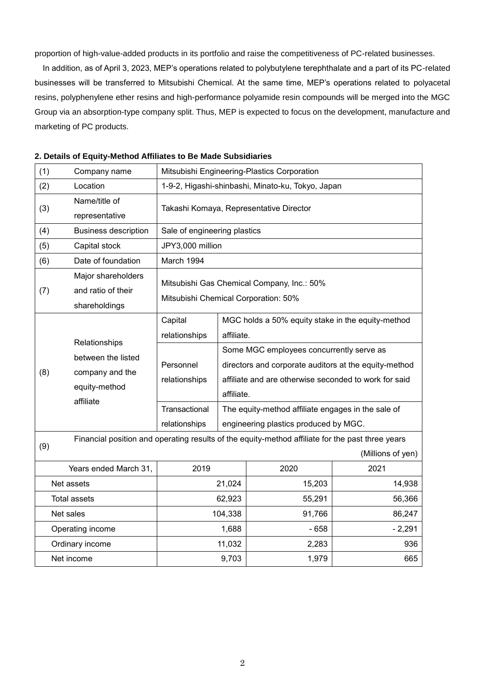proportion of high-value-added products in its portfolio and raise the competitiveness of PC-related businesses.

In addition, as of April 3, 2023, MEP's operations related to polybutylene terephthalate and a part of its PC-related businesses will be transferred to Mitsubishi Chemical. At the same time, MEP's operations related to polyacetal resins, polyphenylene ether resins and high-performance polyamide resin compounds will be merged into the MGC Group via an absorption-type company split. Thus, MEP is expected to focus on the development, manufacture and marketing of PC products.

| (1)                                                                                                     | Company name                                                                         | Mitsubishi Engineering-Plastics Corporation                                        |                                                                                                                                                                          |        |                   |
|---------------------------------------------------------------------------------------------------------|--------------------------------------------------------------------------------------|------------------------------------------------------------------------------------|--------------------------------------------------------------------------------------------------------------------------------------------------------------------------|--------|-------------------|
| (2)                                                                                                     | Location                                                                             | 1-9-2, Higashi-shinbashi, Minato-ku, Tokyo, Japan                                  |                                                                                                                                                                          |        |                   |
| (3)                                                                                                     | Name/title of<br>representative                                                      | Takashi Komaya, Representative Director                                            |                                                                                                                                                                          |        |                   |
| (4)                                                                                                     | <b>Business description</b>                                                          | Sale of engineering plastics                                                       |                                                                                                                                                                          |        |                   |
| (5)                                                                                                     | Capital stock                                                                        | JPY3,000 million                                                                   |                                                                                                                                                                          |        |                   |
| (6)                                                                                                     | Date of foundation                                                                   | March 1994                                                                         |                                                                                                                                                                          |        |                   |
| (7)                                                                                                     | Major shareholders<br>and ratio of their<br>shareholdings                            | Mitsubishi Gas Chemical Company, Inc.: 50%<br>Mitsubishi Chemical Corporation: 50% |                                                                                                                                                                          |        |                   |
| (8)                                                                                                     | Relationships<br>between the listed<br>company and the<br>equity-method<br>affiliate | Capital<br>relationships                                                           | MGC holds a 50% equity stake in the equity-method<br>affiliate.                                                                                                          |        |                   |
|                                                                                                         |                                                                                      | Personnel<br>relationships                                                         | Some MGC employees concurrently serve as<br>directors and corporate auditors at the equity-method<br>affiliate and are otherwise seconded to work for said<br>affiliate. |        |                   |
|                                                                                                         |                                                                                      | Transactional<br>relationships                                                     | The equity-method affiliate engages in the sale of<br>engineering plastics produced by MGC.                                                                              |        |                   |
| Financial position and operating results of the equity-method affiliate for the past three years<br>(9) |                                                                                      |                                                                                    |                                                                                                                                                                          |        |                   |
|                                                                                                         |                                                                                      |                                                                                    |                                                                                                                                                                          |        | (Millions of yen) |
| Years ended March 31,                                                                                   |                                                                                      | 2019                                                                               |                                                                                                                                                                          | 2020   | 2021              |
| Net assets                                                                                              |                                                                                      |                                                                                    | 21,024                                                                                                                                                                   | 15,203 | 14,938            |
| <b>Total assets</b>                                                                                     |                                                                                      | 62,923                                                                             |                                                                                                                                                                          | 55,291 | 56,366            |
| Net sales                                                                                               |                                                                                      | 104,338                                                                            |                                                                                                                                                                          | 91,766 | 86,247            |
| Operating income                                                                                        |                                                                                      | 1,688                                                                              |                                                                                                                                                                          | $-658$ | $-2,291$          |
| Ordinary income                                                                                         |                                                                                      | 11,032                                                                             |                                                                                                                                                                          | 2,283  | 936               |
| Net income                                                                                              |                                                                                      | 9,703                                                                              |                                                                                                                                                                          | 1,979  | 665               |

#### **2. Details of Equity-Method Affiliates to Be Made Subsidiaries**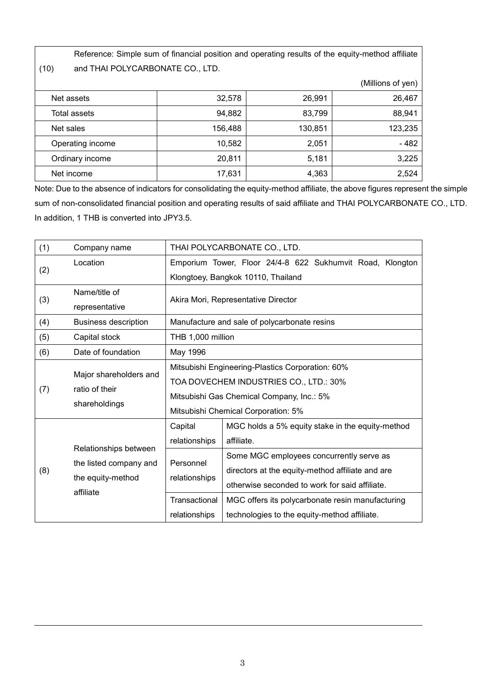(10)

Reference: Simple sum of financial position and operating results of the equity-method affiliate and THAI POLYCARBONATE CO., LTD.

|                  |         |         | (Millions of yen) |
|------------------|---------|---------|-------------------|
| Net assets       | 32,578  | 26,991  | 26,467            |
| Total assets     | 94,882  | 83,799  | 88,941            |
| Net sales        | 156,488 | 130,851 | 123,235           |
| Operating income | 10,582  | 2,051   | $-482$            |
| Ordinary income  | 20,811  | 5,181   | 3,225             |
| Net income       | 17,631  | 4,363   | 2,524             |

Note: Due to the absence of indicators for consolidating the equity-method affiliate, the above figures represent the simple sum of non-consolidated financial position and operating results of said affiliate and THAI POLYCARBONATE CO., LTD. In addition, 1 THB is converted into JPY3.5.

| (1) | Company name                                                                      | THAI POLYCARBONATE CO., LTD.                                                                                                                                                   |                                                                                                                                                |  |
|-----|-----------------------------------------------------------------------------------|--------------------------------------------------------------------------------------------------------------------------------------------------------------------------------|------------------------------------------------------------------------------------------------------------------------------------------------|--|
| (2) | Location                                                                          |                                                                                                                                                                                | Emporium Tower, Floor 24/4-8 622 Sukhumvit Road, Klongton                                                                                      |  |
|     |                                                                                   | Klongtoey, Bangkok 10110, Thailand                                                                                                                                             |                                                                                                                                                |  |
| (3) | Name/title of                                                                     | Akira Mori, Representative Director                                                                                                                                            |                                                                                                                                                |  |
|     | representative                                                                    |                                                                                                                                                                                |                                                                                                                                                |  |
| (4) | <b>Business description</b>                                                       | Manufacture and sale of polycarbonate resins                                                                                                                                   |                                                                                                                                                |  |
| (5) | Capital stock                                                                     | THB 1,000 million                                                                                                                                                              |                                                                                                                                                |  |
| (6) | Date of foundation                                                                | May 1996                                                                                                                                                                       |                                                                                                                                                |  |
| (7) | Major shareholders and<br>ratio of their<br>shareholdings                         | Mitsubishi Engineering-Plastics Corporation: 60%<br>TOA DOVECHEM INDUSTRIES CO., LTD.: 30%<br>Mitsubishi Gas Chemical Company, Inc.: 5%<br>Mitsubishi Chemical Corporation: 5% |                                                                                                                                                |  |
|     | Relationships between<br>the listed company and<br>the equity-method<br>affiliate | Capital<br>relationships                                                                                                                                                       | MGC holds a 5% equity stake in the equity-method<br>affiliate.                                                                                 |  |
| (8) |                                                                                   | Personnel<br>relationships                                                                                                                                                     | Some MGC employees concurrently serve as<br>directors at the equity-method affiliate and are<br>otherwise seconded to work for said affiliate. |  |
|     |                                                                                   | Transactional<br>relationships                                                                                                                                                 | MGC offers its polycarbonate resin manufacturing<br>technologies to the equity-method affiliate.                                               |  |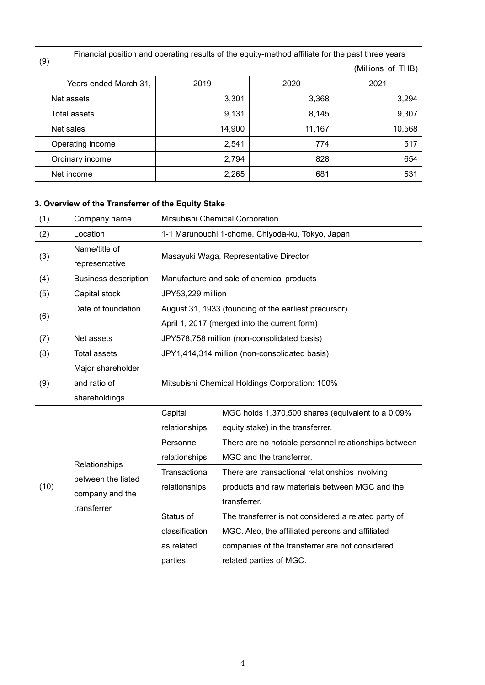|                       | Financial position and operating results of the equity-method affiliate for the past three years |        |                   |  |  |
|-----------------------|--------------------------------------------------------------------------------------------------|--------|-------------------|--|--|
| (9)                   |                                                                                                  |        | (Millions of THB) |  |  |
| Years ended March 31, | 2019                                                                                             | 2020   | 2021              |  |  |
| Net assets            | 3,301                                                                                            | 3,368  | 3,294             |  |  |
| Total assets          | 9,131                                                                                            | 8,145  | 9,307             |  |  |
| Net sales             | 14,900                                                                                           | 11,167 | 10,568            |  |  |
| Operating income      | 2,541                                                                                            | 774    | 517               |  |  |
| Ordinary income       | 2,794                                                                                            | 828    | 654               |  |  |
| Net income            | 2,265                                                                                            | 681    | 531               |  |  |

# **3. Overview of the Transferrer of the Equity Stake**

| (1)  | Company name                                                          | Mitsubishi Chemical Corporation                                                                      |                                                                                                                                                                                        |  |
|------|-----------------------------------------------------------------------|------------------------------------------------------------------------------------------------------|----------------------------------------------------------------------------------------------------------------------------------------------------------------------------------------|--|
| (2)  | Location                                                              | 1-1 Marunouchi 1-chome, Chiyoda-ku, Tokyo, Japan                                                     |                                                                                                                                                                                        |  |
| (3)  | Name/title of<br>representative                                       | Masayuki Waga, Representative Director                                                               |                                                                                                                                                                                        |  |
| (4)  | <b>Business description</b>                                           | Manufacture and sale of chemical products                                                            |                                                                                                                                                                                        |  |
| (5)  | Capital stock                                                         | JPY53,229 million                                                                                    |                                                                                                                                                                                        |  |
| (6)  | Date of foundation                                                    | August 31, 1933 (founding of the earliest precursor)<br>April 1, 2017 (merged into the current form) |                                                                                                                                                                                        |  |
| (7)  | Net assets                                                            | JPY578,758 million (non-consolidated basis)                                                          |                                                                                                                                                                                        |  |
| (8)  | <b>Total assets</b>                                                   | JPY1,414,314 million (non-consolidated basis)                                                        |                                                                                                                                                                                        |  |
| (9)  | Major shareholder<br>and ratio of<br>shareholdings                    | Mitsubishi Chemical Holdings Corporation: 100%                                                       |                                                                                                                                                                                        |  |
|      | Relationships<br>between the listed<br>company and the<br>transferrer | Capital<br>relationships                                                                             | MGC holds 1,370,500 shares (equivalent to a 0.09%<br>equity stake) in the transferrer.                                                                                                 |  |
|      |                                                                       | Personnel<br>relationships                                                                           | There are no notable personnel relationships between<br>MGC and the transferrer.                                                                                                       |  |
| (10) |                                                                       | Transactional<br>relationships                                                                       | There are transactional relationships involving<br>products and raw materials between MGC and the<br>transferrer.                                                                      |  |
|      |                                                                       | Status of<br>classification<br>as related<br>parties                                                 | The transferrer is not considered a related party of<br>MGC. Also, the affiliated persons and affiliated<br>companies of the transferrer are not considered<br>related parties of MGC. |  |